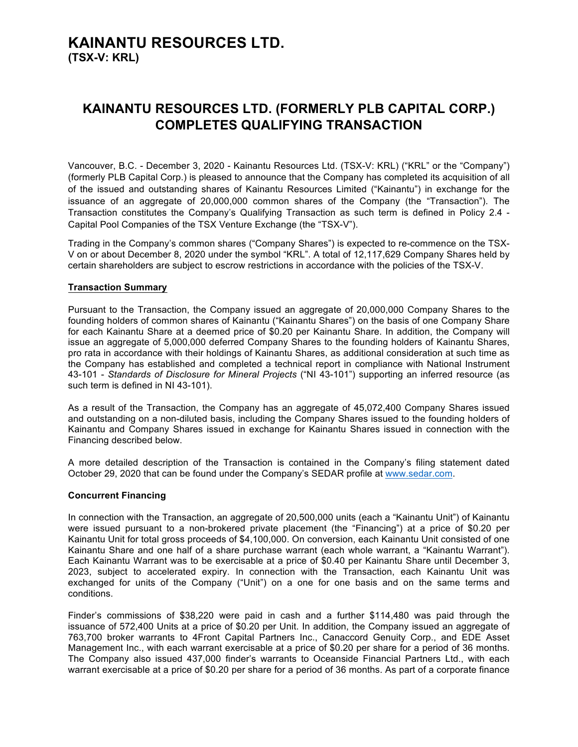## **KAINANTU RESOURCES LTD. (TSX-V: KRL)**

### **KAINANTU RESOURCES LTD. (FORMERLY PLB CAPITAL CORP.) COMPLETES QUALIFYING TRANSACTION**

Vancouver, B.C. - December 3, 2020 - Kainantu Resources Ltd. (TSX-V: KRL) ("KRL" or the "Company") (formerly PLB Capital Corp.) is pleased to announce that the Company has completed its acquisition of all of the issued and outstanding shares of Kainantu Resources Limited ("Kainantu") in exchange for the issuance of an aggregate of 20,000,000 common shares of the Company (the "Transaction"). The Transaction constitutes the Company's Qualifying Transaction as such term is defined in Policy 2.4 - Capital Pool Companies of the TSX Venture Exchange (the "TSX-V").

Trading in the Company's common shares ("Company Shares") is expected to re-commence on the TSX-V on or about December 8, 2020 under the symbol "KRL". A total of 12,117,629 Company Shares held by certain shareholders are subject to escrow restrictions in accordance with the policies of the TSX-V.

### **Transaction Summary**

Pursuant to the Transaction, the Company issued an aggregate of 20,000,000 Company Shares to the founding holders of common shares of Kainantu ("Kainantu Shares") on the basis of one Company Share for each Kainantu Share at a deemed price of \$0.20 per Kainantu Share. In addition, the Company will issue an aggregate of 5,000,000 deferred Company Shares to the founding holders of Kainantu Shares, pro rata in accordance with their holdings of Kainantu Shares, as additional consideration at such time as the Company has established and completed a technical report in compliance with National Instrument 43-101 - *Standards of Disclosure for Mineral Projects* ("NI 43-101") supporting an inferred resource (as such term is defined in NI 43-101).

As a result of the Transaction, the Company has an aggregate of 45,072,400 Company Shares issued and outstanding on a non-diluted basis, including the Company Shares issued to the founding holders of Kainantu and Company Shares issued in exchange for Kainantu Shares issued in connection with the Financing described below.

A more detailed description of the Transaction is contained in the Company's filing statement dated October 29, 2020 that can be found under the Company's SEDAR profile at www.sedar.com.

### **Concurrent Financing**

In connection with the Transaction, an aggregate of 20,500,000 units (each a "Kainantu Unit") of Kainantu were issued pursuant to a non-brokered private placement (the "Financing") at a price of \$0.20 per Kainantu Unit for total gross proceeds of \$4,100,000. On conversion, each Kainantu Unit consisted of one Kainantu Share and one half of a share purchase warrant (each whole warrant, a "Kainantu Warrant"). Each Kainantu Warrant was to be exercisable at a price of \$0.40 per Kainantu Share until December 3, 2023, subject to accelerated expiry. In connection with the Transaction, each Kainantu Unit was exchanged for units of the Company ("Unit") on a one for one basis and on the same terms and conditions.

Finder's commissions of \$38,220 were paid in cash and a further \$114,480 was paid through the issuance of 572,400 Units at a price of \$0.20 per Unit. In addition, the Company issued an aggregate of 763,700 broker warrants to 4Front Capital Partners Inc., Canaccord Genuity Corp., and EDE Asset Management Inc., with each warrant exercisable at a price of \$0.20 per share for a period of 36 months. The Company also issued 437,000 finder's warrants to Oceanside Financial Partners Ltd., with each warrant exercisable at a price of \$0.20 per share for a period of 36 months. As part of a corporate finance